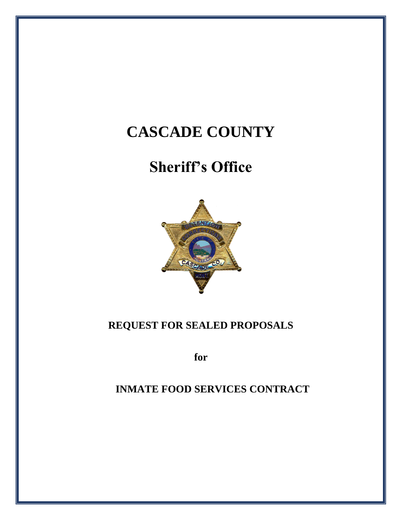# **CASCADE COUNTY**

# **Sheriff's Office**



# **REQUEST FOR SEALED PROPOSALS**

**for**

# **INMATE FOOD SERVICES CONTRACT**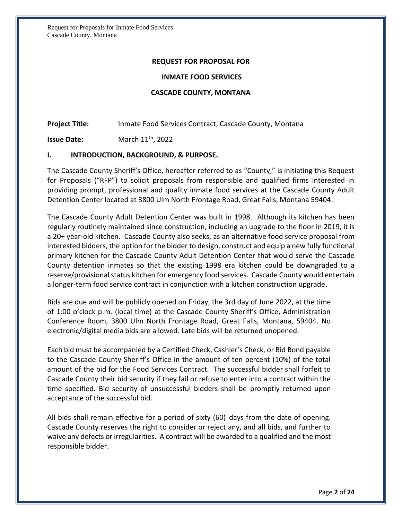#### **REQUEST FOR PROPOSAL FOR**

#### **INMATE FOOD SERVICES**

#### **CASCADE COUNTY, MONTANA**

**Project Title:** Inmate Food Services Contract, Cascade County, Montana

**Issue Date:** March 11th , 2022

#### **I. INTRODUCTION, BACKGROUND, & PURPOSE.**

The Cascade County Sheriff's Office, hereafter referred to as "County," is initiating this Request for Proposals ("RFP") to solicit proposals from responsible and qualified firms interested in providing prompt, professional and quality inmate food services at the Cascade County Adult Detention Center located at 3800 Ulm North Frontage Road, Great Falls, Montana 59404.

The Cascade County Adult Detention Center was built in 1998. Although its kitchen has been regularly routinely maintained since construction, including an upgrade to the floor in 2019, it is a 20+ year-old kitchen. Cascade County also seeks, as an alternative food service proposal from interested bidders, the option for the bidder to design, construct and equip a new fully functional primary kitchen for the Cascade County Adult Detention Center that would serve the Cascade County detention inmates so that the existing 1998 era kitchen could be downgraded to a reserve/provisional status kitchen for emergency food services. Cascade County would entertain a longer-term food service contract in conjunction with a kitchen construction upgrade.

Bids are due and will be publicly opened on Friday, the 3rd day of June 2022, at the time of 1:00 o'clock p.m. (local time) at the Cascade County Sheriff's Office, Administration Conference Room, 3800 Ulm North Frontage Road, Great Falls, Montana, 59404. No electronic/digital media bids are allowed. Late bids will be returned unopened.

Each bid must be accompanied by a Certified Check, Cashier's Check, or Bid Bond payable to the Cascade County Sheriff's Office in the amount of ten percent (10%) of the total amount of the bid for the Food Services Contract. The successful bidder shall forfeit to Cascade County their bid security if they fail or refuse to enter into a contract within the time specified. Bid security of unsuccessful bidders shall be promptly returned upon acceptance of the successful bid.

All bids shall remain effective for a period of sixty (60) days from the date of opening. Cascade County reserves the right to consider or reject any, and all bids, and further to waive any defects or irregularities. A contract will be awarded to a qualified and the most responsible bidder.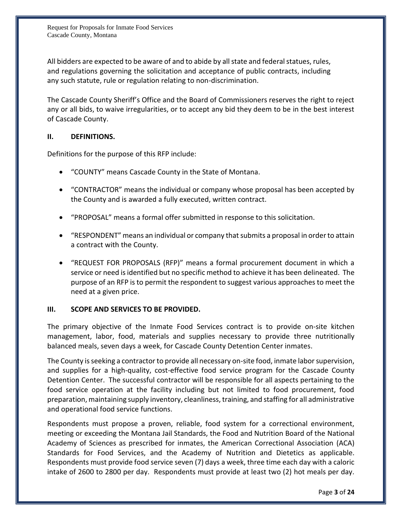All bidders are expected to be aware of and to abide by all state and federal statues, rules, and regulations governing the solicitation and acceptance of public contracts, including any such statute, rule or regulation relating to non-discrimination.

The Cascade County Sheriff's Office and the Board of Commissioners reserves the right to reject any or all bids, to waive irregularities, or to accept any bid they deem to be in the best interest of Cascade County.

# **II. DEFINITIONS.**

Definitions for the purpose of this RFP include:

- "COUNTY" means Cascade County in the State of Montana.
- "CONTRACTOR" means the individual or company whose proposal has been accepted by the County and is awarded a fully executed, written contract.
- "PROPOSAL" means a formal offer submitted in response to this solicitation.
- "RESPONDENT" means an individual or company that submits a proposal in order to attain a contract with the County.
- "REQUEST FOR PROPOSALS (RFP)" means a formal procurement document in which a service or need is identified but no specific method to achieve it has been delineated. The purpose of an RFP is to permit the respondent to suggest various approaches to meet the need at a given price.

# **III. SCOPE AND SERVICES TO BE PROVIDED.**

The primary objective of the Inmate Food Services contract is to provide on-site kitchen management, labor, food, materials and supplies necessary to provide three nutritionally balanced meals, seven days a week, for Cascade County Detention Center inmates.

The County is seeking a contractor to provide all necessary on-site food, inmate labor supervision, and supplies for a high-quality, cost-effective food service program for the Cascade County Detention Center. The successful contractor will be responsible for all aspects pertaining to the food service operation at the facility including but not limited to food procurement, food preparation, maintaining supply inventory, cleanliness, training, and staffing for all administrative and operational food service functions.

Respondents must propose a proven, reliable, food system for a correctional environment, meeting or exceeding the Montana Jail Standards, the Food and Nutrition Board of the National Academy of Sciences as prescribed for inmates, the American Correctional Association (ACA) Standards for Food Services, and the Academy of Nutrition and Dietetics as applicable. Respondents must provide food service seven (7) days a week, three time each day with a caloric intake of 2600 to 2800 per day. Respondents must provide at least two (2) hot meals per day.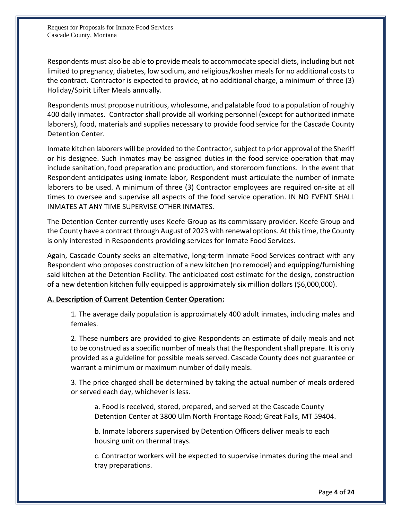Respondents must also be able to provide meals to accommodate special diets, including but not limited to pregnancy, diabetes, low sodium, and religious/kosher meals for no additional costs to the contract. Contractor is expected to provide, at no additional charge, a minimum of three (3) Holiday/Spirit Lifter Meals annually.

Respondents must propose nutritious, wholesome, and palatable food to a population of roughly 400 daily inmates. Contractor shall provide all working personnel (except for authorized inmate laborers), food, materials and supplies necessary to provide food service for the Cascade County Detention Center.

Inmate kitchen laborers will be provided to the Contractor, subject to prior approval of the Sheriff or his designee. Such inmates may be assigned duties in the food service operation that may include sanitation, food preparation and production, and storeroom functions. In the event that Respondent anticipates using inmate labor, Respondent must articulate the number of inmate laborers to be used. A minimum of three (3) Contractor employees are required on-site at all times to oversee and supervise all aspects of the food service operation. IN NO EVENT SHALL INMATES AT ANY TIME SUPERVISE OTHER INMATES.

The Detention Center currently uses Keefe Group as its commissary provider. Keefe Group and the County have a contract through August of 2023 with renewal options. At this time, the County is only interested in Respondents providing services for Inmate Food Services.

Again, Cascade County seeks an alternative, long-term Inmate Food Services contract with any Respondent who proposes construction of a new kitchen (no remodel) and equipping/furnishing said kitchen at the Detention Facility. The anticipated cost estimate for the design, construction of a new detention kitchen fully equipped is approximately six million dollars (\$6,000,000).

# **A. Description of Current Detention Center Operation:**

1. The average daily population is approximately 400 adult inmates, including males and females.

2. These numbers are provided to give Respondents an estimate of daily meals and not to be construed as a specific number of meals that the Respondent shall prepare. It is only provided as a guideline for possible meals served. Cascade County does not guarantee or warrant a minimum or maximum number of daily meals.

3. The price charged shall be determined by taking the actual number of meals ordered or served each day, whichever is less.

a. Food is received, stored, prepared, and served at the Cascade County Detention Center at 3800 Ulm North Frontage Road; Great Falls, MT 59404.

b. Inmate laborers supervised by Detention Officers deliver meals to each housing unit on thermal trays.

c. Contractor workers will be expected to supervise inmates during the meal and tray preparations.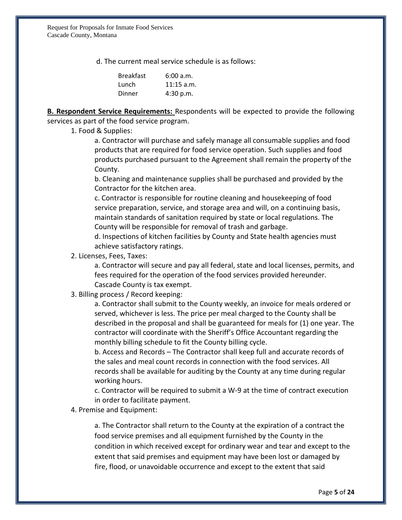d. The current meal service schedule is as follows:

| <b>Breakfast</b> | 6:00 a.m.    |
|------------------|--------------|
| Lunch            | $11:15$ a.m. |
| Dinner           | 4:30 p.m.    |

**B. Respondent Service Requirements:** Respondents will be expected to provide the following services as part of the food service program.

1. Food & Supplies:

a. Contractor will purchase and safely manage all consumable supplies and food products that are required for food service operation. Such supplies and food products purchased pursuant to the Agreement shall remain the property of the County.

b. Cleaning and maintenance supplies shall be purchased and provided by the Contractor for the kitchen area.

c. Contractor is responsible for routine cleaning and housekeeping of food service preparation, service, and storage area and will, on a continuing basis, maintain standards of sanitation required by state or local regulations. The County will be responsible for removal of trash and garbage.

d. Inspections of kitchen facilities by County and State health agencies must achieve satisfactory ratings.

2. Licenses, Fees, Taxes:

a. Contractor will secure and pay all federal, state and local licenses, permits, and fees required for the operation of the food services provided hereunder. Cascade County is tax exempt.

3. Billing process / Record keeping:

a. Contractor shall submit to the County weekly, an invoice for meals ordered or served, whichever is less. The price per meal charged to the County shall be described in the proposal and shall be guaranteed for meals for (1) one year. The contractor will coordinate with the Sheriff's Office Accountant regarding the monthly billing schedule to fit the County billing cycle.

b. Access and Records – The Contractor shall keep full and accurate records of the sales and meal count records in connection with the food services. All records shall be available for auditing by the County at any time during regular working hours.

c. Contractor will be required to submit a W-9 at the time of contract execution in order to facilitate payment.

4. Premise and Equipment:

a. The Contractor shall return to the County at the expiration of a contract the food service premises and all equipment furnished by the County in the condition in which received except for ordinary wear and tear and except to the extent that said premises and equipment may have been lost or damaged by fire, flood, or unavoidable occurrence and except to the extent that said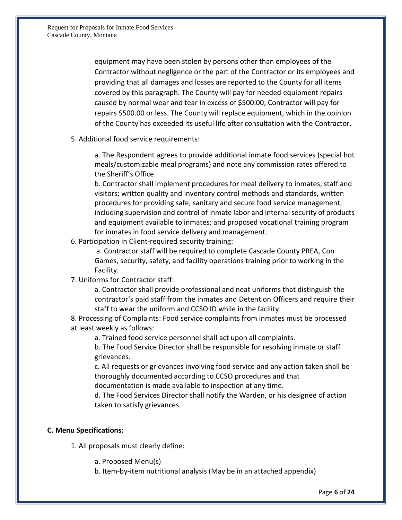equipment may have been stolen by persons other than employees of the Contractor without negligence or the part of the Contractor or its employees and providing that all damages and losses are reported to the County for all items covered by this paragraph. The County will pay for needed equipment repairs caused by normal wear and tear in excess of \$500.00; Contractor will pay for repairs \$500.00 or less. The County will replace equipment, which in the opinion of the County has exceeded its useful life after consultation with the Contractor.

5. Additional food service requirements:

a. The Respondent agrees to provide additional inmate food services (special hot meals/customizable meal programs) and note any commission rates offered to the Sheriff's Office.

b. Contractor shall implement procedures for meal delivery to inmates, staff and visitors; written quality and inventory control methods and standards, written procedures for providing safe, sanitary and secure food service management, including supervision and control of inmate labor and internal security of products and equipment available to inmates; and proposed vocational training program for inmates in food service delivery and management.

6. Participation in Client-required security training:

a. Contractor staff will be required to complete Cascade County PREA, Con Games, security, safety, and facility operations training prior to working in the Facility.

7. Uniforms for Contractor staff:

a. Contractor shall provide professional and neat uniforms that distinguish the contractor's paid staff from the inmates and Detention Officers and require their staff to wear the uniform and CCSO ID while in the facility.

8. Processing of Complaints: Food service complaints from inmates must be processed at least weekly as follows:

a. Trained food service personnel shall act upon all complaints.

b. The Food Service Director shall be responsible for resolving inmate or staff grievances.

c. All requests or grievances involving food service and any action taken shall be thoroughly documented according to CCSO procedures and that

documentation is made available to inspection at any time.

d. The Food Services Director shall notify the Warden, or his designee of action taken to satisfy grievances.

# **C. Menu Specifications:**

1. All proposals must clearly define:

- a. Proposed Menu(s)
- b. Item-by-item nutritional analysis (May be in an attached appendix)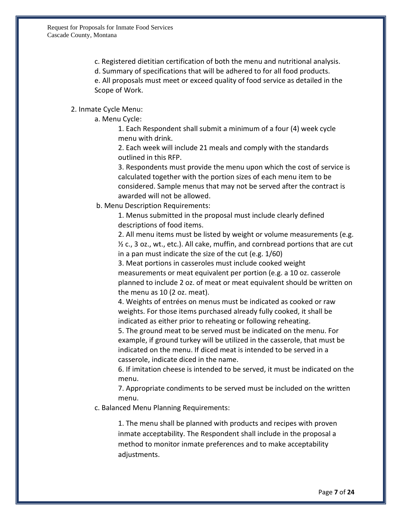c. Registered dietitian certification of both the menu and nutritional analysis.

d. Summary of specifications that will be adhered to for all food products.

e. All proposals must meet or exceed quality of food service as detailed in the Scope of Work.

# 2. Inmate Cycle Menu:

a. Menu Cycle:

1. Each Respondent shall submit a minimum of a four (4) week cycle menu with drink.

2. Each week will include 21 meals and comply with the standards outlined in this RFP.

3. Respondents must provide the menu upon which the cost of service is calculated together with the portion sizes of each menu item to be considered. Sample menus that may not be served after the contract is awarded will not be allowed.

b. Menu Description Requirements:

1. Menus submitted in the proposal must include clearly defined descriptions of food items.

2. All menu items must be listed by weight or volume measurements (e.g.  $\frac{1}{2}$  c., 3 oz., wt., etc.). All cake, muffin, and cornbread portions that are cut in a pan must indicate the size of the cut (e.g. 1/60)

3. Meat portions in casseroles must include cooked weight measurements or meat equivalent per portion (e.g. a 10 oz. casserole planned to include 2 oz. of meat or meat equivalent should be written on the menu as 10 (2 oz. meat).

4. Weights of entrées on menus must be indicated as cooked or raw weights. For those items purchased already fully cooked, it shall be indicated as either prior to reheating or following reheating.

5. The ground meat to be served must be indicated on the menu. For example, if ground turkey will be utilized in the casserole, that must be indicated on the menu. If diced meat is intended to be served in a casserole, indicate diced in the name.

6. If imitation cheese is intended to be served, it must be indicated on the menu.

7. Appropriate condiments to be served must be included on the written menu.

c. Balanced Menu Planning Requirements:

1. The menu shall be planned with products and recipes with proven inmate acceptability. The Respondent shall include in the proposal a method to monitor inmate preferences and to make acceptability adjustments.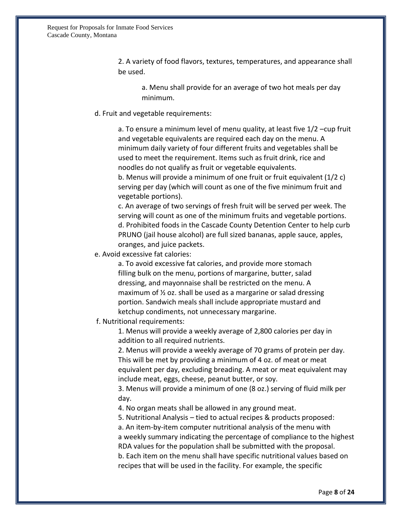2. A variety of food flavors, textures, temperatures, and appearance shall be used.

a. Menu shall provide for an average of two hot meals per day minimum.

#### d. Fruit and vegetable requirements:

a. To ensure a minimum level of menu quality, at least five 1/2 –cup fruit and vegetable equivalents are required each day on the menu. A minimum daily variety of four different fruits and vegetables shall be used to meet the requirement. Items such as fruit drink, rice and noodles do not qualify as fruit or vegetable equivalents.

b. Menus will provide a minimum of one fruit or fruit equivalent (1/2 c) serving per day (which will count as one of the five minimum fruit and vegetable portions).

c. An average of two servings of fresh fruit will be served per week. The serving will count as one of the minimum fruits and vegetable portions. d. Prohibited foods in the Cascade County Detention Center to help curb PRUNO (jail house alcohol) are full sized bananas, apple sauce, apples, oranges, and juice packets.

e. Avoid excessive fat calories:

a. To avoid excessive fat calories, and provide more stomach filling bulk on the menu, portions of margarine, butter, salad dressing, and mayonnaise shall be restricted on the menu. A maximum of ½ oz. shall be used as a margarine or salad dressing portion. Sandwich meals shall include appropriate mustard and ketchup condiments, not unnecessary margarine.

f. Nutritional requirements:

1. Menus will provide a weekly average of 2,800 calories per day in addition to all required nutrients.

2. Menus will provide a weekly average of 70 grams of protein per day. This will be met by providing a minimum of 4 oz. of meat or meat equivalent per day, excluding breading. A meat or meat equivalent may include meat, eggs, cheese, peanut butter, or soy.

3. Menus will provide a minimum of one (8 oz.) serving of fluid milk per day.

4. No organ meats shall be allowed in any ground meat.

5. Nutritional Analysis – tied to actual recipes & products proposed:

a. An item-by-item computer nutritional analysis of the menu with a weekly summary indicating the percentage of compliance to the highest RDA values for the population shall be submitted with the proposal. b. Each item on the menu shall have specific nutritional values based on recipes that will be used in the facility. For example, the specific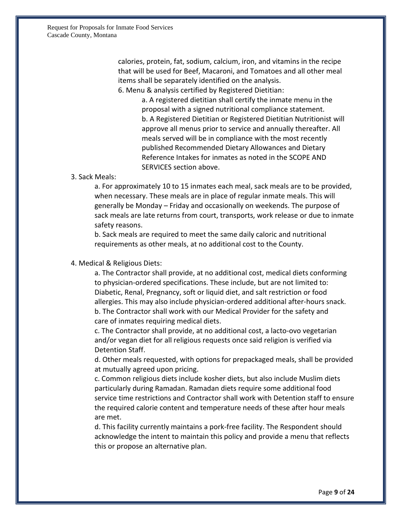Request for Proposals for Inmate Food Services Cascade County, Montana

> calories, protein, fat, sodium, calcium, iron, and vitamins in the recipe that will be used for Beef, Macaroni, and Tomatoes and all other meal items shall be separately identified on the analysis.

6. Menu & analysis certified by Registered Dietitian:

a. A registered dietitian shall certify the inmate menu in the proposal with a signed nutritional compliance statement. b. A Registered Dietitian or Registered Dietitian Nutritionist will approve all menus prior to service and annually thereafter. All meals served will be in compliance with the most recently published Recommended Dietary Allowances and Dietary Reference Intakes for inmates as noted in the SCOPE AND SERVICES section above.

#### 3. Sack Meals:

a. For approximately 10 to 15 inmates each meal, sack meals are to be provided, when necessary. These meals are in place of regular inmate meals. This will generally be Monday – Friday and occasionally on weekends. The purpose of sack meals are late returns from court, transports, work release or due to inmate safety reasons.

b. Sack meals are required to meet the same daily caloric and nutritional requirements as other meals, at no additional cost to the County.

#### 4. Medical & Religious Diets:

a. The Contractor shall provide, at no additional cost, medical diets conforming to physician-ordered specifications. These include, but are not limited to: Diabetic, Renal, Pregnancy, soft or liquid diet, and salt restriction or food allergies. This may also include physician-ordered additional after-hours snack. b. The Contractor shall work with our Medical Provider for the safety and care of inmates requiring medical diets.

c. The Contractor shall provide, at no additional cost, a lacto-ovo vegetarian and/or vegan diet for all religious requests once said religion is verified via Detention Staff.

d. Other meals requested, with options for prepackaged meals, shall be provided at mutually agreed upon pricing.

c. Common religious diets include kosher diets, but also include Muslim diets particularly during Ramadan. Ramadan diets require some additional food service time restrictions and Contractor shall work with Detention staff to ensure the required calorie content and temperature needs of these after hour meals are met.

d. This facility currently maintains a pork-free facility. The Respondent should acknowledge the intent to maintain this policy and provide a menu that reflects this or propose an alternative plan.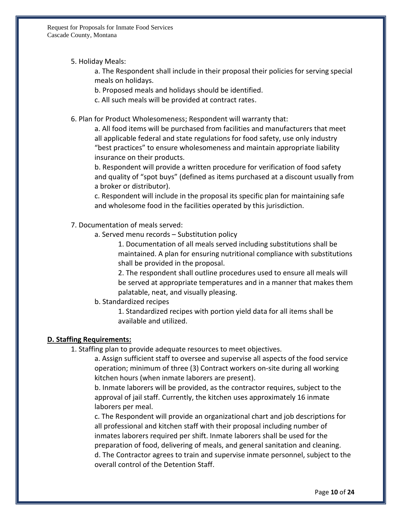5. Holiday Meals:

a. The Respondent shall include in their proposal their policies for serving special meals on holidays.

b. Proposed meals and holidays should be identified.

c. All such meals will be provided at contract rates.

6. Plan for Product Wholesomeness; Respondent will warranty that:

a. All food items will be purchased from facilities and manufacturers that meet all applicable federal and state regulations for food safety, use only industry "best practices" to ensure wholesomeness and maintain appropriate liability insurance on their products.

b. Respondent will provide a written procedure for verification of food safety and quality of "spot buys" (defined as items purchased at a discount usually from a broker or distributor).

c. Respondent will include in the proposal its specific plan for maintaining safe and wholesome food in the facilities operated by this jurisdiction.

- 7. Documentation of meals served:
	- a. Served menu records Substitution policy

1. Documentation of all meals served including substitutions shall be maintained. A plan for ensuring nutritional compliance with substitutions shall be provided in the proposal.

2. The respondent shall outline procedures used to ensure all meals will be served at appropriate temperatures and in a manner that makes them palatable, neat, and visually pleasing.

b. Standardized recipes

1. Standardized recipes with portion yield data for all items shall be available and utilized.

# **D. Staffing Requirements:**

1. Staffing plan to provide adequate resources to meet objectives.

a. Assign sufficient staff to oversee and supervise all aspects of the food service operation; minimum of three (3) Contract workers on-site during all working kitchen hours (when inmate laborers are present).

b. Inmate laborers will be provided, as the contractor requires, subject to the approval of jail staff. Currently, the kitchen uses approximately 16 inmate laborers per meal.

c. The Respondent will provide an organizational chart and job descriptions for all professional and kitchen staff with their proposal including number of inmates laborers required per shift. Inmate laborers shall be used for the preparation of food, delivering of meals, and general sanitation and cleaning. d. The Contractor agrees to train and supervise inmate personnel, subject to the overall control of the Detention Staff.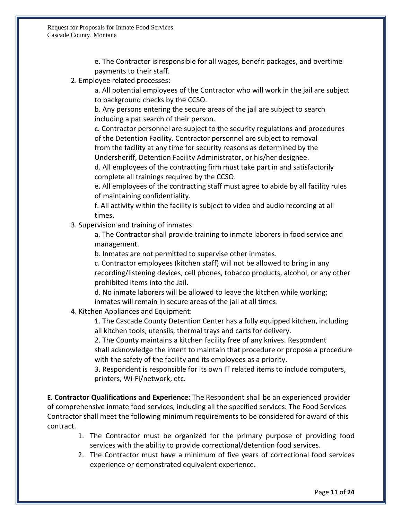e. The Contractor is responsible for all wages, benefit packages, and overtime payments to their staff.

2. Employee related processes:

a. All potential employees of the Contractor who will work in the jail are subject to background checks by the CCSO.

b. Any persons entering the secure areas of the jail are subject to search including a pat search of their person.

c. Contractor personnel are subject to the security regulations and procedures of the Detention Facility. Contractor personnel are subject to removal from the facility at any time for security reasons as determined by the Undersheriff, Detention Facility Administrator, or his/her designee.

d. All employees of the contracting firm must take part in and satisfactorily complete all trainings required by the CCSO.

e. All employees of the contracting staff must agree to abide by all facility rules of maintaining confidentiality.

f. All activity within the facility is subject to video and audio recording at all times.

3. Supervision and training of inmates:

a. The Contractor shall provide training to inmate laborers in food service and management.

b. Inmates are not permitted to supervise other inmates.

c. Contractor employees (kitchen staff) will not be allowed to bring in any recording/listening devices, cell phones, tobacco products, alcohol, or any other prohibited items into the Jail.

d. No inmate laborers will be allowed to leave the kitchen while working; inmates will remain in secure areas of the jail at all times.

4. Kitchen Appliances and Equipment:

1. The Cascade County Detention Center has a fully equipped kitchen, including all kitchen tools, utensils, thermal trays and carts for delivery.

2. The County maintains a kitchen facility free of any knives. Respondent shall acknowledge the intent to maintain that procedure or propose a procedure with the safety of the facility and its employees as a priority.

3. Respondent is responsible for its own IT related items to include computers, printers, Wi-Fi/network, etc.

**E. Contractor Qualifications and Experience:** The Respondent shall be an experienced provider of comprehensive inmate food services, including all the specified services. The Food Services Contractor shall meet the following minimum requirements to be considered for award of this contract.

- 1. The Contractor must be organized for the primary purpose of providing food services with the ability to provide correctional/detention food services.
- 2. The Contractor must have a minimum of five years of correctional food services experience or demonstrated equivalent experience.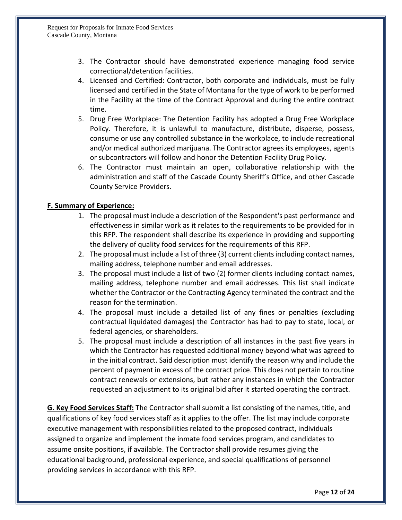- 3. The Contractor should have demonstrated experience managing food service correctional/detention facilities.
- 4. Licensed and Certified: Contractor, both corporate and individuals, must be fully licensed and certified in the State of Montana for the type of work to be performed in the Facility at the time of the Contract Approval and during the entire contract time.
- 5. Drug Free Workplace: The Detention Facility has adopted a Drug Free Workplace Policy. Therefore, it is unlawful to manufacture, distribute, disperse, possess, consume or use any controlled substance in the workplace, to include recreational and/or medical authorized marijuana. The Contractor agrees its employees, agents or subcontractors will follow and honor the Detention Facility Drug Policy.
- 6. The Contractor must maintain an open, collaborative relationship with the administration and staff of the Cascade County Sheriff's Office, and other Cascade County Service Providers.

# **F. Summary of Experience:**

- 1. The proposal must include a description of the Respondent's past performance and effectiveness in similar work as it relates to the requirements to be provided for in this RFP. The respondent shall describe its experience in providing and supporting the delivery of quality food services for the requirements of this RFP.
- 2. The proposal must include a list of three (3) current clients including contact names, mailing address, telephone number and email addresses.
- 3. The proposal must include a list of two (2) former clients including contact names, mailing address, telephone number and email addresses. This list shall indicate whether the Contractor or the Contracting Agency terminated the contract and the reason for the termination.
- 4. The proposal must include a detailed list of any fines or penalties (excluding contractual liquidated damages) the Contractor has had to pay to state, local, or federal agencies, or shareholders.
- 5. The proposal must include a description of all instances in the past five years in which the Contractor has requested additional money beyond what was agreed to in the initial contract. Said description must identify the reason why and include the percent of payment in excess of the contract price. This does not pertain to routine contract renewals or extensions, but rather any instances in which the Contractor requested an adjustment to its original bid after it started operating the contract.

**G. Key Food Services Staff:** The Contractor shall submit a list consisting of the names, title, and qualifications of key food services staff as it applies to the offer. The list may include corporate executive management with responsibilities related to the proposed contract, individuals assigned to organize and implement the inmate food services program, and candidates to assume onsite positions, if available. The Contractor shall provide resumes giving the educational background, professional experience, and special qualifications of personnel providing services in accordance with this RFP.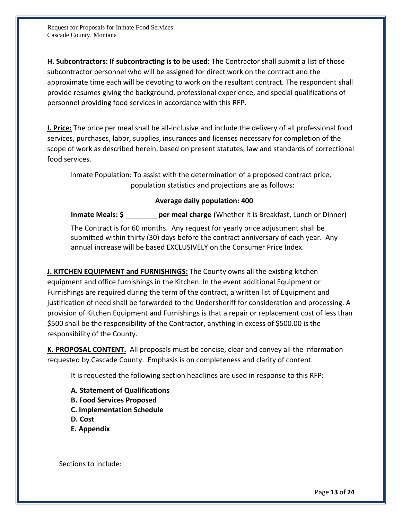**H. Subcontractors: If subcontracting is to be used:** The Contractor shall submit a list of those subcontractor personnel who will be assigned for direct work on the contract and the approximate time each will be devoting to work on the resultant contract. The respondent shall provide resumes giving the background, professional experience, and special qualifications of personnel providing food services in accordance with this RFP.

**I. Price:** The price per meal shall be all-inclusive and include the delivery of all professional food services, purchases, labor, supplies, insurances and licenses necessary for completion of the scope of work as described herein, based on present statutes, law and standards of correctional food services.

Inmate Population: To assist with the determination of a proposed contract price, population statistics and projections are as follows:

# **Average daily population: 400**

**Inmate Meals: \$ \_\_\_\_\_\_\_\_ per meal charge** (Whether it is Breakfast, Lunch or Dinner)

The Contract is for 60 months. Any request for yearly price adjustment shall be submitted within thirty (30) days before the contract anniversary of each year. Any annual increase will be based EXCLUSIVELY on the Consumer Price Index.

**J. KITCHEN EQUIPMENT and FURNISHINGS:** The County owns all the existing kitchen equipment and office furnishings in the Kitchen. In the event additional Equipment or Furnishings are required during the term of the contract, a written list of Equipment and justification of need shall be forwarded to the Undersheriff for consideration and processing. A provision of Kitchen Equipment and Furnishings is that a repair or replacement cost of less than \$500 shall be the responsibility of the Contractor, anything in excess of \$500.00 is the responsibility of the County.

**K. PROPOSAL CONTENT.** All proposals must be concise, clear and convey all the information requested by Cascade County. Emphasis is on completeness and clarity of content.

It is requested the following section headlines are used in response to this RFP:

- **A. Statement of Qualifications**
- **B. Food Services Proposed**
- **C. Implementation Schedule**
- **D. Cost**
- **E. Appendix**

Sections to include: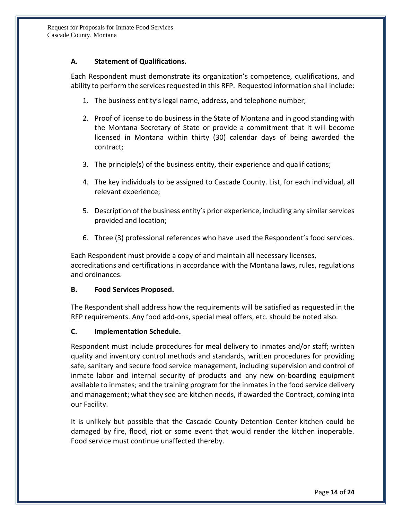# **A. Statement of Qualifications.**

Each Respondent must demonstrate its organization's competence, qualifications, and ability to perform the services requested in this RFP. Requested information shall include:

- 1. The business entity's legal name, address, and telephone number;
- 2. Proof of license to do business in the State of Montana and in good standing with the Montana Secretary of State or provide a commitment that it will become licensed in Montana within thirty (30) calendar days of being awarded the contract;
- 3. The principle(s) of the business entity, their experience and qualifications;
- 4. The key individuals to be assigned to Cascade County. List, for each individual, all relevant experience;
- 5. Description of the business entity's prior experience, including any similar services provided and location;
- 6. Three (3) professional references who have used the Respondent's food services.

Each Respondent must provide a copy of and maintain all necessary licenses, accreditations and certifications in accordance with the Montana laws, rules, regulations and ordinances.

# **B. Food Services Proposed.**

The Respondent shall address how the requirements will be satisfied as requested in the RFP requirements. Any food add-ons, special meal offers, etc. should be noted also.

# **C. Implementation Schedule.**

Respondent must include procedures for meal delivery to inmates and/or staff; written quality and inventory control methods and standards, written procedures for providing safe, sanitary and secure food service management, including supervision and control of inmate labor and internal security of products and any new on-boarding equipment available to inmates; and the training program for the inmatesin the food service delivery and management; what they see are kitchen needs, if awarded the Contract, coming into our Facility.

It is unlikely but possible that the Cascade County Detention Center kitchen could be damaged by fire, flood, riot or some event that would render the kitchen inoperable. Food service must continue unaffected thereby.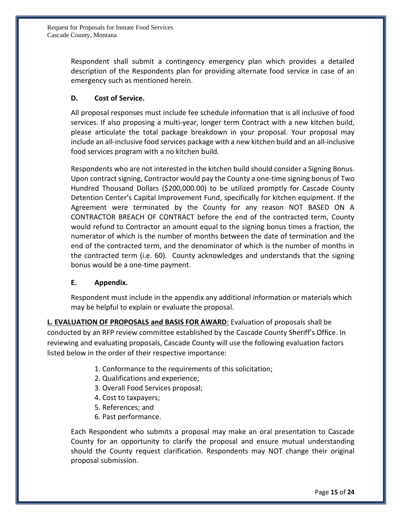Respondent shall submit a contingency emergency plan which provides a detailed description of the Respondents plan for providing alternate food service in case of an emergency such as mentioned herein.

# **D. Cost of Service.**

All proposal responses must include fee schedule information that is all inclusive of food services. If also proposing a multi-year, longer term Contract with a new kitchen build, please articulate the total package breakdown in your proposal. Your proposal may include an all-inclusive food services package with a new kitchen build and an all-inclusive food services program with a no kitchen build.

Respondents who are not interested in the kitchen build should consider a Signing Bonus. Upon contract signing, Contractor would pay the County a one-time signing bonus of Two Hundred Thousand Dollars (\$200,000.00) to be utilized promptly for Cascade County Detention Center's Capital Improvement Fund, specifically for kitchen equipment. If the Agreement were terminated by the County for any reason NOT BASED ON A CONTRACTOR BREACH OF CONTRACT before the end of the contracted term, County would refund to Contractor an amount equal to the signing bonus times a fraction, the numerator of which is the number of months between the date of termination and the end of the contracted term, and the denominator of which is the number of months in the contracted term (i.e. 60). County acknowledges and understands that the signing bonus would be a one-time payment.

# **E. Appendix.**

Respondent must include in the appendix any additional information or materials which may be helpful to explain or evaluate the proposal.

**L. EVALUATION OF PROPOSALS and BASIS FOR AWARD**: Evaluation of proposals shall be conducted by an RFP review committee established by the Cascade County Sheriff's Office. In reviewing and evaluating proposals, Cascade County will use the following evaluation factors listed below in the order of their respective importance:

- 1. Conformance to the requirements of this solicitation;
- 2. Qualifications and experience;
- 3. Overall Food Services proposal;
- 4. Cost to taxpayers;
- 5. References; and
- 6. Past performance.

Each Respondent who submits a proposal may make an oral presentation to Cascade County for an opportunity to clarify the proposal and ensure mutual understanding should the County request clarification. Respondents may NOT change their original proposal submission.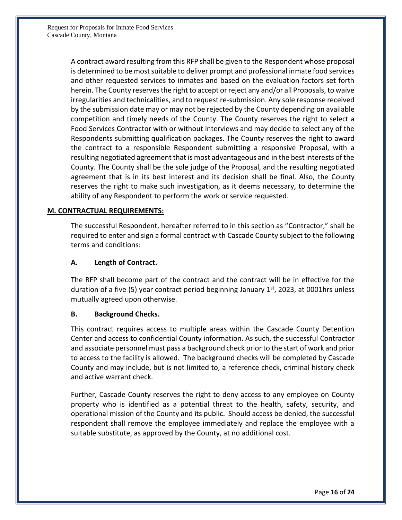A contract award resulting from this RFP shall be given to the Respondent whose proposal is determined to be most suitable to deliver prompt and professional inmate food services and other requested services to inmates and based on the evaluation factors set forth herein. The County reserves the right to accept or reject any and/or all Proposals, to waive irregularities and technicalities, and to request re-submission. Any sole response received by the submission date may or may not be rejected by the County depending on available competition and timely needs of the County. The County reserves the right to select a Food Services Contractor with or without interviews and may decide to select any of the Respondents submitting qualification packages. The County reserves the right to award the contract to a responsible Respondent submitting a responsive Proposal, with a resulting negotiated agreement that is most advantageous and in the best interests of the County. The County shall be the sole judge of the Proposal, and the resulting negotiated agreement that is in its best interest and its decision shall be final. Also, the County reserves the right to make such investigation, as it deems necessary, to determine the ability of any Respondent to perform the work or service requested.

# **M. CONTRACTUAL REQUIREMENTS:**

The successful Respondent, hereafter referred to in this section as "Contractor," shall be required to enter and sign a formal contract with Cascade County subject to the following terms and conditions:

# **A. Length of Contract.**

The RFP shall become part of the contract and the contract will be in effective for the duration of a five (5) year contract period beginning January 1<sup>st</sup>, 2023, at 0001hrs unless mutually agreed upon otherwise.

# **B. Background Checks.**

This contract requires access to multiple areas within the Cascade County Detention Center and access to confidential County information. As such, the successful Contractor and associate personnel must pass a background check prior to the start of work and prior to access to the facility is allowed. The background checks will be completed by Cascade County and may include, but is not limited to, a reference check, criminal history check and active warrant check.

Further, Cascade County reserves the right to deny access to any employee on County property who is identified as a potential threat to the health, safety, security, and operational mission of the County and its public. Should access be denied, the successful respondent shall remove the employee immediately and replace the employee with a suitable substitute, as approved by the County, at no additional cost.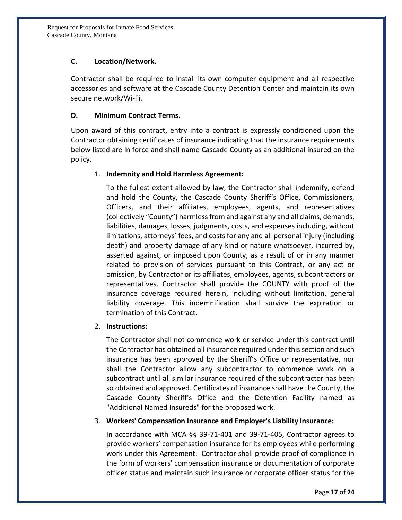# **C. Location/Network.**

Contractor shall be required to install its own computer equipment and all respective accessories and software at the Cascade County Detention Center and maintain its own secure network/Wi-Fi.

# **D. Minimum Contract Terms.**

Upon award of this contract, entry into a contract is expressly conditioned upon the Contractor obtaining certificates of insurance indicating that the insurance requirements below listed are in force and shall name Cascade County as an additional insured on the policy.

# 1. **Indemnity and Hold Harmless Agreement:**

To the fullest extent allowed by law, the Contractor shall indemnify, defend and hold the County, the Cascade County Sheriff's Office, Commissioners, Officers, and their affiliates, employees, agents, and representatives (collectively "County") harmless from and against any and all claims, demands, liabilities, damages, losses, judgments, costs, and expenses including, without limitations, attorneys' fees, and costs for any and all personal injury (including death) and property damage of any kind or nature whatsoever, incurred by, asserted against, or imposed upon County, as a result of or in any manner related to provision of services pursuant to this Contract, or any act or omission, by Contractor or its affiliates, employees, agents, subcontractors or representatives. Contractor shall provide the COUNTY with proof of the insurance coverage required herein, including without limitation, general liability coverage. This indemnification shall survive the expiration or termination of this Contract.

# 2. **Instructions:**

The Contractor shall not commence work or service under this contract until the Contractor has obtained all insurance required under this section and such insurance has been approved by the Sheriff's Office or representative, nor shall the Contractor allow any subcontractor to commence work on a subcontract until all similar insurance required of the subcontractor has been so obtained and approved. Certificates of insurance shall have the County, the Cascade County Sheriff's Office and the Detention Facility named as "Additional Named Insureds" for the proposed work.

# 3. **Workers' Compensation Insurance and Employer's Liability Insurance:**

In accordance with MCA §§ 39-71-401 and 39-71-405, Contractor agrees to provide workers' compensation insurance for its employees while performing work under this Agreement. Contractor shall provide proof of compliance in the form of workers' compensation insurance or documentation of corporate officer status and maintain such insurance or corporate officer status for the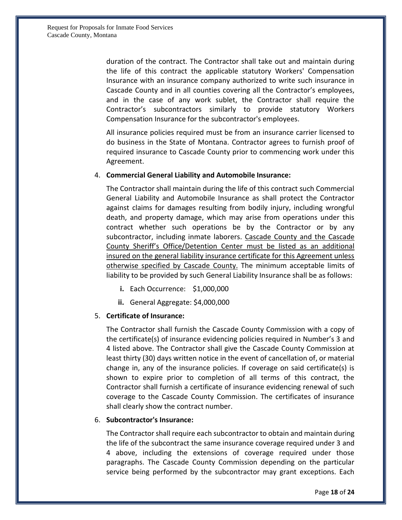duration of the contract. The Contractor shall take out and maintain during the life of this contract the applicable statutory Workers' Compensation Insurance with an insurance company authorized to write such insurance in Cascade County and in all counties covering all the Contractor's employees, and in the case of any work sublet, the Contractor shall require the Contractor's subcontractors similarly to provide statutory Workers Compensation Insurance for the subcontractor's employees.

All insurance policies required must be from an insurance carrier licensed to do business in the State of Montana. Contractor agrees to furnish proof of required insurance to Cascade County prior to commencing work under this Agreement.

#### 4. **Commercial General Liability and Automobile Insurance:**

The Contractor shall maintain during the life of this contract such Commercial General Liability and Automobile Insurance as shall protect the Contractor against claims for damages resulting from bodily injury, including wrongful death, and property damage, which may arise from operations under this contract whether such operations be by the Contractor or by any subcontractor, including inmate laborers. Cascade County and the Cascade County Sheriff's Office/Detention Center must be listed as an additional insured on the general liability insurance certificate for this Agreement unless otherwise specified by Cascade County. The minimum acceptable limits of liability to be provided by such General Liability Insurance shall be as follows:

- **i.** Each Occurrence: \$1,000,000
- **ii.** General Aggregate: \$4,000,000

#### 5. **Certificate of Insurance:**

The Contractor shall furnish the Cascade County Commission with a copy of the certificate(s) of insurance evidencing policies required in Number's 3 and 4 listed above. The Contractor shall give the Cascade County Commission at least thirty (30) days written notice in the event of cancellation of, or material change in, any of the insurance policies. If coverage on said certificate(s) is shown to expire prior to completion of all terms of this contract, the Contractor shall furnish a certificate of insurance evidencing renewal of such coverage to the Cascade County Commission. The certificates of insurance shall clearly show the contract number.

#### 6. **Subcontractor's Insurance:**

The Contractor shall require each subcontractor to obtain and maintain during the life of the subcontract the same insurance coverage required under 3 and 4 above, including the extensions of coverage required under those paragraphs. The Cascade County Commission depending on the particular service being performed by the subcontractor may grant exceptions. Each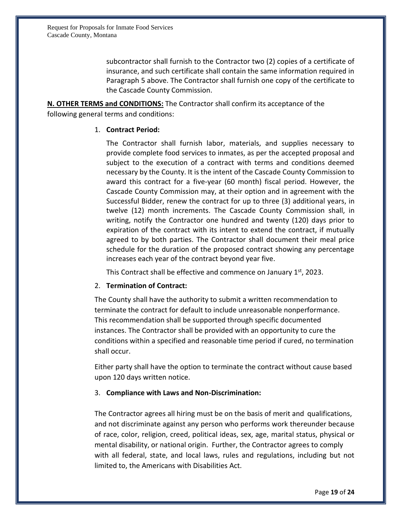subcontractor shall furnish to the Contractor two (2) copies of a certificate of insurance, and such certificate shall contain the same information required in Paragraph 5 above. The Contractor shall furnish one copy of the certificate to the Cascade County Commission.

**N. OTHER TERMS and CONDITIONS:** The Contractor shall confirm its acceptance of the following general terms and conditions:

# 1. **Contract Period:**

The Contractor shall furnish labor, materials, and supplies necessary to provide complete food services to inmates, as per the accepted proposal and subject to the execution of a contract with terms and conditions deemed necessary by the County. It is the intent of the Cascade County Commission to award this contract for a five-year (60 month) fiscal period. However, the Cascade County Commission may, at their option and in agreement with the Successful Bidder, renew the contract for up to three (3) additional years, in twelve (12) month increments. The Cascade County Commission shall, in writing, notify the Contractor one hundred and twenty (120) days prior to expiration of the contract with its intent to extend the contract, if mutually agreed to by both parties. The Contractor shall document their meal price schedule for the duration of the proposed contract showing any percentage increases each year of the contract beyond year five.

This Contract shall be effective and commence on January 1<sup>st</sup>, 2023.

# 2. **Termination of Contract:**

The County shall have the authority to submit a written recommendation to terminate the contract for default to include unreasonable nonperformance. This recommendation shall be supported through specific documented instances. The Contractor shall be provided with an opportunity to cure the conditions within a specified and reasonable time period if cured, no termination shall occur.

Either party shall have the option to terminate the contract without cause based upon 120 days written notice.

# 3. **Compliance with Laws and Non-Discrimination:**

The Contractor agrees all hiring must be on the basis of merit and qualifications, and not discriminate against any person who performs work thereunder because of race, color, religion, creed, political ideas, sex, age, marital status, physical or mental disability, or national origin. Further, the Contractor agrees to comply with all federal, state, and local laws, rules and regulations, including but not limited to, the Americans with Disabilities Act.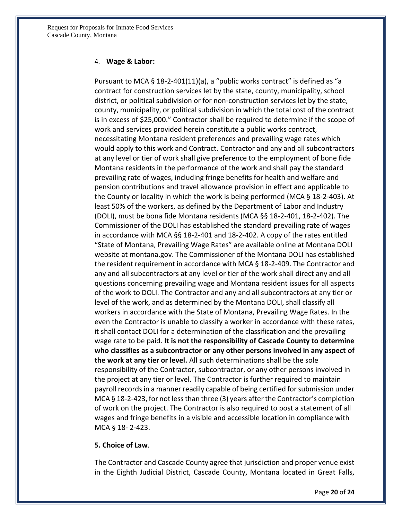#### 4. **Wage & Labor:**

Pursuant to MCA § 18-2-401(11)(a), a "public works contract" is defined as "a contract for construction services let by the state, county, municipality, school district, or political subdivision or for non-construction services let by the state, county, municipality, or political subdivision in which the total cost of the contract is in excess of \$25,000." Contractor shall be required to determine if the scope of work and services provided herein constitute a public works contract, necessitating Montana resident preferences and prevailing wage rates which would apply to this work and Contract. Contractor and any and all subcontractors at any level or tier of work shall give preference to the employment of bone fide Montana residents in the performance of the work and shall pay the standard prevailing rate of wages, including fringe benefits for health and welfare and pension contributions and travel allowance provision in effect and applicable to the County or locality in which the work is being performed (MCA § 18-2-403). At least 50% of the workers, as defined by the Department of Labor and Industry (DOLI), must be bona fide Montana residents (MCA §§ 18-2-401, 18-2-402). The Commissioner of the DOLI has established the standard prevailing rate of wages in accordance with MCA §§ 18-2-401 and 18-2-402. A copy of the rates entitled "State of Montana, Prevailing Wage Rates" are available online at Montana DOLI website at montana.gov. The Commissioner of the Montana DOLI has established the resident requirement in accordance with MCA § 18-2-409. The Contractor and any and all subcontractors at any level or tier of the work shall direct any and all questions concerning prevailing wage and Montana resident issues for all aspects of the work to DOLI. The Contractor and any and all subcontractors at any tier or level of the work, and as determined by the Montana DOLI, shall classify all workers in accordance with the State of Montana, Prevailing Wage Rates. In the even the Contractor is unable to classify a worker in accordance with these rates, it shall contact DOLI for a determination of the classification and the prevailing wage rate to be paid. **It is not the responsibility of Cascade County to determine who classifies as a subcontractor or any other persons involved in any aspect of the work at any tier or level.** All such determinations shall be the sole responsibility of the Contractor, subcontractor, or any other persons involved in the project at any tier or level. The Contractor is further required to maintain payroll records in a manner readily capable of being certified for submission under MCA § 18-2-423, for not less than three (3) years after the Contractor's completion of work on the project. The Contractor is also required to post a statement of all wages and fringe benefits in a visible and accessible location in compliance with MCA § 18- 2-423.

#### **5. Choice of Law**.

The Contractor and Cascade County agree that jurisdiction and proper venue exist in the Eighth Judicial District, Cascade County, Montana located in Great Falls,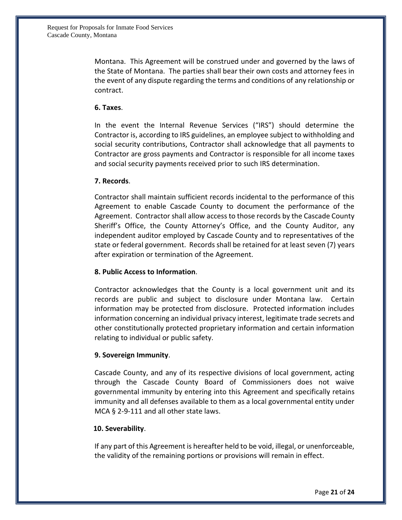Montana. This Agreement will be construed under and governed by the laws of the State of Montana. The parties shall bear their own costs and attorney fees in the event of any dispute regarding the terms and conditions of any relationship or contract.

# **6. Taxes**.

In the event the Internal Revenue Services ("IRS") should determine the Contractor is, according to IRS guidelines, an employee subject to withholding and social security contributions, Contractor shall acknowledge that all payments to Contractor are gross payments and Contractor is responsible for all income taxes and social security payments received prior to such IRS determination.

#### **7. Records**.

Contractor shall maintain sufficient records incidental to the performance of this Agreement to enable Cascade County to document the performance of the Agreement. Contractor shall allow access to those records by the Cascade County Sheriff's Office, the County Attorney's Office, and the County Auditor, any independent auditor employed by Cascade County and to representatives of the state or federal government. Records shall be retained for at least seven (7) years after expiration or termination of the Agreement.

# **8. Public Access to Information**.

Contractor acknowledges that the County is a local government unit and its records are public and subject to disclosure under Montana law. Certain information may be protected from disclosure. Protected information includes information concerning an individual privacy interest, legitimate trade secrets and other constitutionally protected proprietary information and certain information relating to individual or public safety.

# **9. Sovereign Immunity**.

Cascade County, and any of its respective divisions of local government, acting through the Cascade County Board of Commissioners does not waive governmental immunity by entering into this Agreement and specifically retains immunity and all defenses available to them as a local governmental entity under MCA § 2-9-111 and all other state laws.

#### **10. Severability**.

If any part of this Agreement is hereafter held to be void, illegal, or unenforceable, the validity of the remaining portions or provisions will remain in effect.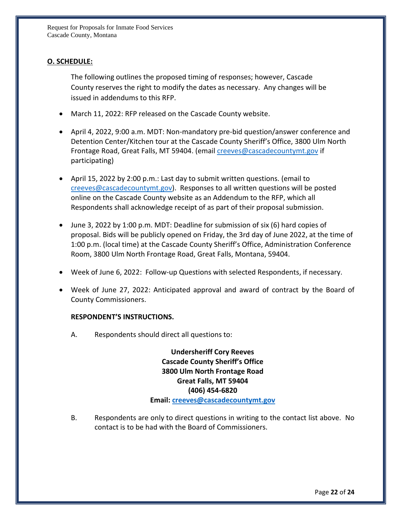# **O. SCHEDULE:**

The following outlines the proposed timing of responses; however, Cascade County reserves the right to modify the dates as necessary. Any changes will be issued in addendums to this RFP.

- March 11, 2022: RFP released on the Cascade County website.
- April 4, 2022, 9:00 a.m. MDT: Non-mandatory pre-bid question/answer conference and Detention Center/Kitchen tour at the Cascade County Sheriff's Office, 3800 Ulm North Frontage Road, Great Falls, MT 59404. (email *creeves@cascadecountymt.gov* if participating)
- April 15, 2022 by 2:00 p.m.: Last day to submit written questions. (email to [creeves@cascadecountymt.gov\)](mailto:creeves@cascadecountymt.gov). Responses to all written questions will be posted online on the Cascade County website as an Addendum to the RFP, which all Respondents shall acknowledge receipt of as part of their proposal submission.
- June 3, 2022 by 1:00 p.m. MDT: Deadline for submission of six (6) hard copies of proposal. Bids will be publicly opened on Friday, the 3rd day of June 2022, at the time of 1:00 p.m. (local time) at the Cascade County Sheriff's Office, Administration Conference Room, 3800 Ulm North Frontage Road, Great Falls, Montana, 59404.
- Week of June 6, 2022: Follow-up Questions with selected Respondents, if necessary.
- Week of June 27, 2022: Anticipated approval and award of contract by the Board of County Commissioners.

#### **RESPONDENT'S INSTRUCTIONS.**

A. Respondents should direct all questions to:

**Undersheriff Cory Reeves Cascade County Sheriff's Office 3800 Ulm North Frontage Road Great Falls, MT 59404 (406) 454-6820 Email: [creeves@cascadecountymt.gov](mailto:creeves@cascadecountymt.gov)**

B. Respondents are only to direct questions in writing to the contact list above. No contact is to be had with the Board of Commissioners.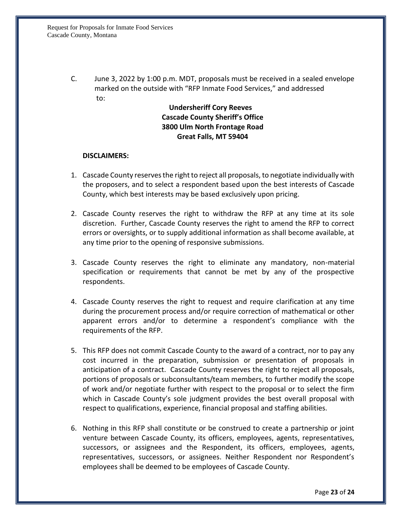C. June 3, 2022 by 1:00 p.m. MDT, proposals must be received in a sealed envelope marked on the outside with "RFP Inmate Food Services," and addressed to:

# **Undersheriff Cory Reeves Cascade County Sheriff's Office 3800 Ulm North Frontage Road Great Falls, MT 59404**

#### **DISCLAIMERS:**

- 1. Cascade County reserves the right to reject all proposals, to negotiate individually with the proposers, and to select a respondent based upon the best interests of Cascade County, which best interests may be based exclusively upon pricing.
- 2. Cascade County reserves the right to withdraw the RFP at any time at its sole discretion. Further, Cascade County reserves the right to amend the RFP to correct errors or oversights, or to supply additional information as shall become available, at any time prior to the opening of responsive submissions.
- 3. Cascade County reserves the right to eliminate any mandatory, non-material specification or requirements that cannot be met by any of the prospective respondents.
- 4. Cascade County reserves the right to request and require clarification at any time during the procurement process and/or require correction of mathematical or other apparent errors and/or to determine a respondent's compliance with the requirements of the RFP.
- 5. This RFP does not commit Cascade County to the award of a contract, nor to pay any cost incurred in the preparation, submission or presentation of proposals in anticipation of a contract. Cascade County reserves the right to reject all proposals, portions of proposals or subconsultants/team members, to further modify the scope of work and/or negotiate further with respect to the proposal or to select the firm which in Cascade County's sole judgment provides the best overall proposal with respect to qualifications, experience, financial proposal and staffing abilities.
- 6. Nothing in this RFP shall constitute or be construed to create a partnership or joint venture between Cascade County, its officers, employees, agents, representatives, successors, or assignees and the Respondent, its officers, employees, agents, representatives, successors, or assignees. Neither Respondent nor Respondent's employees shall be deemed to be employees of Cascade County.